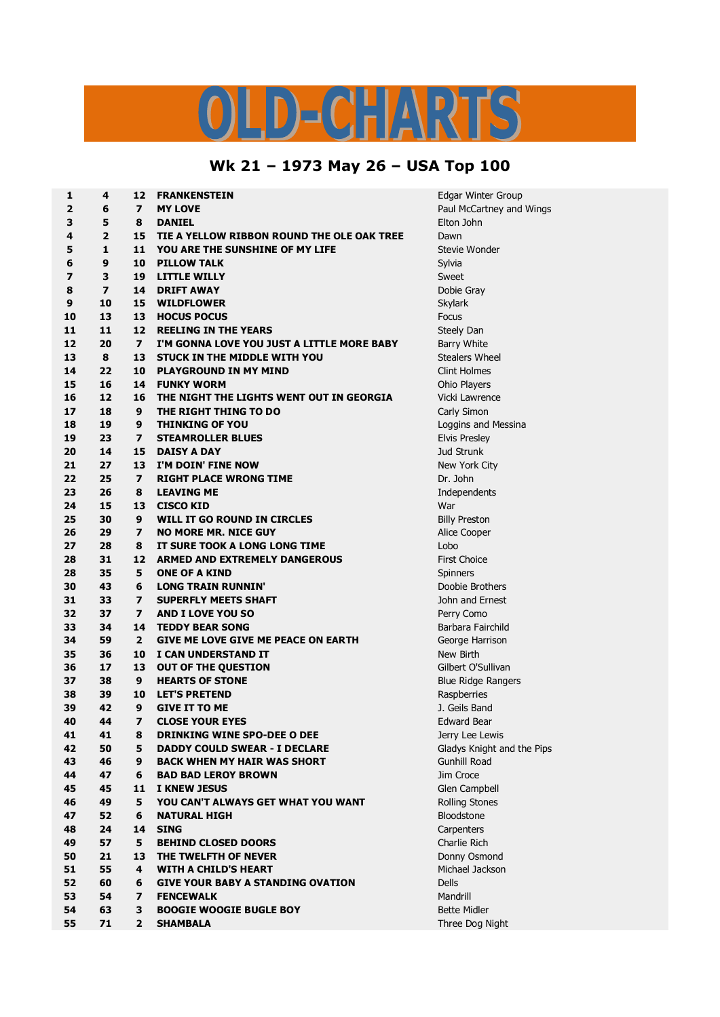## S  $\begin{picture}(20,20) \put(0,0){\line(1,0){10}} \put(15,0){\line(1,0){10}} \put(15,0){\line(1,0){10}} \put(15,0){\line(1,0){10}} \put(15,0){\line(1,0){10}} \put(15,0){\line(1,0){10}} \put(15,0){\line(1,0){10}} \put(15,0){\line(1,0){10}} \put(15,0){\line(1,0){10}} \put(15,0){\line(1,0){10}} \put(15,0){\line(1,0){10}} \put(15,0){\line(1$  $\left(\begin{array}{c} \textbf{p} \end{array}\right)$  $\mathbf{L}$   $\mathbf{V}$  $\mathbf C$

## **Wk 21 – 1973 May 26 – USA Top 100**

| 1                       | 4                        | 12                      | <b>FRANKENSTEIN</b>                        | Edgar Winter Group         |
|-------------------------|--------------------------|-------------------------|--------------------------------------------|----------------------------|
| $\overline{2}$          | 6                        | $\overline{ }$          | <b>MY LOVE</b>                             | Paul McCartney and Wings   |
| 3                       | 5                        | 8                       | <b>DANIEL</b>                              | Elton John                 |
| 4                       | $\overline{2}$           | 15                      | TIE A YELLOW RIBBON ROUND THE OLE OAK TREE | Dawn                       |
| 5                       | $\mathbf{1}$             | 11                      | <b>YOU ARE THE SUNSHINE OF MY LIFE</b>     | Stevie Wonder              |
| 6                       | 9                        | 10                      | <b>PILLOW TALK</b>                         | Sylvia                     |
| $\overline{\mathbf{z}}$ | 3                        | 19                      | <b>LITTLE WILLY</b>                        | Sweet                      |
| 8                       | $\overline{\phantom{a}}$ | 14                      | <b>DRIFT AWAY</b>                          | Dobie Gray                 |
| 9                       | 10                       | 15                      | <b>WILDFLOWER</b>                          | <b>Skylark</b>             |
| 10                      | 13                       | 13                      | <b>HOCUS POCUS</b>                         | <b>Focus</b>               |
| 11                      | 11                       | 12                      | <b>REELING IN THE YEARS</b>                | Steely Dan                 |
| 12                      | 20                       | $\overline{ }$          | I'M GONNA LOVE YOU JUST A LITTLE MORE BABY | Barry White                |
| 13                      | 8                        | 13                      | <b>STUCK IN THE MIDDLE WITH YOU</b>        | <b>Stealers Wheel</b>      |
| 14                      | 22                       | 10                      | <b>PLAYGROUND IN MY MIND</b>               | <b>Clint Holmes</b>        |
| 15                      | 16                       | 14                      | <b>FUNKY WORM</b>                          |                            |
|                         | 12                       |                         | THE NIGHT THE LIGHTS WENT OUT IN GEORGIA   | Ohio Players               |
| 16                      |                          | 16                      |                                            | Vicki Lawrence             |
| 17                      | 18                       | 9                       | THE RIGHT THING TO DO                      | Carly Simon                |
| 18                      | 19                       | 9                       | <b>THINKING OF YOU</b>                     | Loggins and Messina        |
| 19                      | 23                       | $\overline{\mathbf{z}}$ | <b>STEAMROLLER BLUES</b>                   | <b>Elvis Presley</b>       |
| 20                      | 14                       | 15                      | <b>DAISY A DAY</b>                         | Jud Strunk                 |
| 21                      | 27                       | 13                      | I'M DOIN' FINE NOW                         | New York City              |
| 22                      | 25                       | $\overline{ }$          | <b>RIGHT PLACE WRONG TIME</b>              | Dr. John                   |
| 23                      | 26                       | 8                       | <b>LEAVING ME</b>                          | Independents               |
| 24                      | 15                       | 13                      | <b>CISCO KID</b>                           | War                        |
| 25                      | 30                       | 9                       | WILL IT GO ROUND IN CIRCLES                | <b>Billy Preston</b>       |
| 26                      | 29                       | $\overline{\mathbf{z}}$ | <b>NO MORE MR. NICE GUY</b>                | Alice Cooper               |
| 27                      | 28                       | 8                       | IT SURE TOOK A LONG LONG TIME              | Lobo                       |
| 28                      | 31                       | 12                      | <b>ARMED AND EXTREMELY DANGEROUS</b>       | <b>First Choice</b>        |
| 28                      | 35                       | 5                       | <b>ONE OF A KIND</b>                       | Spinners                   |
| 30                      | 43                       | 6                       | <b>LONG TRAIN RUNNIN'</b>                  | Doobie Brothers            |
| 31                      | 33                       | $\overline{ }$          | <b>SUPERFLY MEETS SHAFT</b>                | John and Ernest            |
| 32                      | 37                       | $\overline{ }$          | <b>AND I LOVE YOU SO</b>                   | Perry Como                 |
| 33                      | 34                       | 14                      | <b>TEDDY BEAR SONG</b>                     | Barbara Fairchild          |
| 34                      | 59                       | $\mathbf{2}$            | <b>GIVE ME LOVE GIVE ME PEACE ON EARTH</b> | George Harrison            |
| 35                      | 36                       | 10                      | I CAN UNDERSTAND IT                        | New Birth                  |
| 36                      | 17                       | 13                      | <b>OUT OF THE QUESTION</b>                 | Gilbert O'Sullivan         |
| 37                      | 38                       | 9                       | <b>HEARTS OF STONE</b>                     | <b>Blue Ridge Rangers</b>  |
| 38                      | 39                       | 10                      | <b>LET'S PRETEND</b>                       | Raspberries                |
| 39                      | 42                       | 9                       | <b>GIVE IT TO ME</b>                       | J. Geils Band              |
| 40                      | 44                       | $\overline{\mathbf{z}}$ | <b>CLOSE YOUR EYES</b>                     | <b>Edward Bear</b>         |
| 41                      | 41                       | 8                       | <b>DRINKING WINE SPO-DEE O DEE</b>         | Jerry Lee Lewis            |
| 42                      | 50                       | 5                       | <b>DADDY COULD SWEAR - I DECLARE</b>       | Gladys Knight and the Pips |
| 43                      | 46                       | 9                       | <b>BACK WHEN MY HAIR WAS SHORT</b>         | <b>Gunhill Road</b>        |
| 44                      | 47                       | 6                       | <b>BAD BAD LEROY BROWN</b>                 | Jim Croce                  |
| 45                      | 45                       | 11                      | <b>I KNEW JESUS</b>                        | Glen Campbell              |
| 46                      | 49                       | 5                       | YOU CAN'T ALWAYS GET WHAT YOU WANT         | Rolling Stones             |
| 47                      | 52                       | 6                       | <b>NATURAL HIGH</b>                        | Bloodstone                 |
| 48                      | 24                       | 14                      | <b>SING</b>                                | Carpenters                 |
| 49                      | 57                       | 5                       | <b>BEHIND CLOSED DOORS</b>                 | Charlie Rich               |
| 50                      | 21                       | 13                      | THE TWELFTH OF NEVER                       | Donny Osmond               |
| 51                      | 55                       | 4                       | <b>WITH A CHILD'S HEART</b>                | Michael Jackson            |
| 52                      | 60                       | 6                       | <b>GIVE YOUR BABY A STANDING OVATION</b>   | <b>Dells</b>               |
| 53                      | 54                       | $\overline{ }$          | <b>FENCEWALK</b>                           | Mandrill                   |
| 54                      | 63                       | 3                       | <b>BOOGIE WOOGIE BUGLE BOY</b>             | <b>Bette Midler</b>        |
| 55                      | 71                       | $\mathbf{z}$            | <b>SHAMBALA</b>                            | Three Dog Night            |
|                         |                          |                         |                                            |                            |